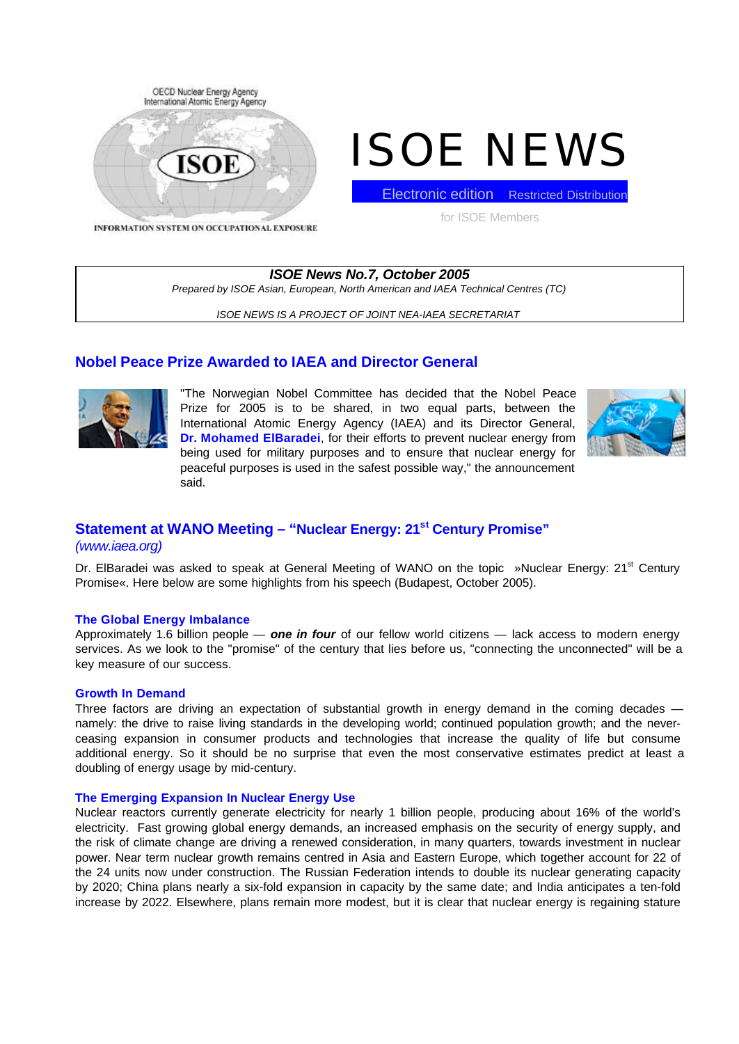

# ISOE NEWS

Electronic edition Restricted Distribution

for ISOE Members

INFORMATION SYSTEM ON OCCUPATIONAL EXPOSURE

*ISOE News No.7, October 2005 Prepared by ISOE Asian, European, North American and IAEA Technical Centres (TC)*

*ISOE NEWS IS A PROJECT OF JOINT NEA-IAEA SECRETARIAT*

# **Nobel Peace Prize Awarded to IAEA and Director General**



"The Norwegian Nobel Committee has decided that the Nobel Peace Prize for 2005 is to be shared, in two equal parts, between the International Atomic Energy Agency (IAEA) and its Director General, **Dr. Mohamed ElBaradei**, for their efforts to prevent nuclear energy from being used for military purposes and to ensure that nuclear energy for peaceful purposes is used in the safest possible way," the announcement said.



# **Statement at WANO Meeting – "Nuclear Energy: 21st Century Promise"**

## *(www.iaea.org)*

Dr. ElBaradei was asked to speak at General Meeting of WANO on the topic »Nuclear Energy: 21<sup>st</sup> Century Promise«. Here below are some highlights from his speech (Budapest, October 2005).

## **The Global Energy Imbalance**

Approximately 1.6 billion people — *one in four* of our fellow world citizens — lack access to modern energy services. As we look to the "promise" of the century that lies before us, "connecting the unconnected" will be a key measure of our success.

## **Growth In Demand**

Three factors are driving an expectation of substantial growth in energy demand in the coming decades namely: the drive to raise living standards in the developing world; continued population growth; and the neverceasing expansion in consumer products and technologies that increase the quality of life but consume additional energy. So it should be no surprise that even the most conservative estimates predict at least a doubling of energy usage by mid-century.

## **The Emerging Expansion In Nuclear Energy Use**

Nuclear reactors currently generate electricity for nearly 1 billion people, producing about 16% of the world's electricity. Fast growing global energy demands, an increased emphasis on the security of energy supply, and the risk of climate change are driving a renewed consideration, in many quarters, towards investment in nuclear power. Near term nuclear growth remains centred in Asia and Eastern Europe, which together account for 22 of the 24 units now under construction. The Russian Federation intends to double its nuclear generating capacity by 2020; China plans nearly a six-fold expansion in capacity by the same date; and India anticipates a ten-fold increase by 2022. Elsewhere, plans remain more modest, but it is clear that nuclear energy is regaining stature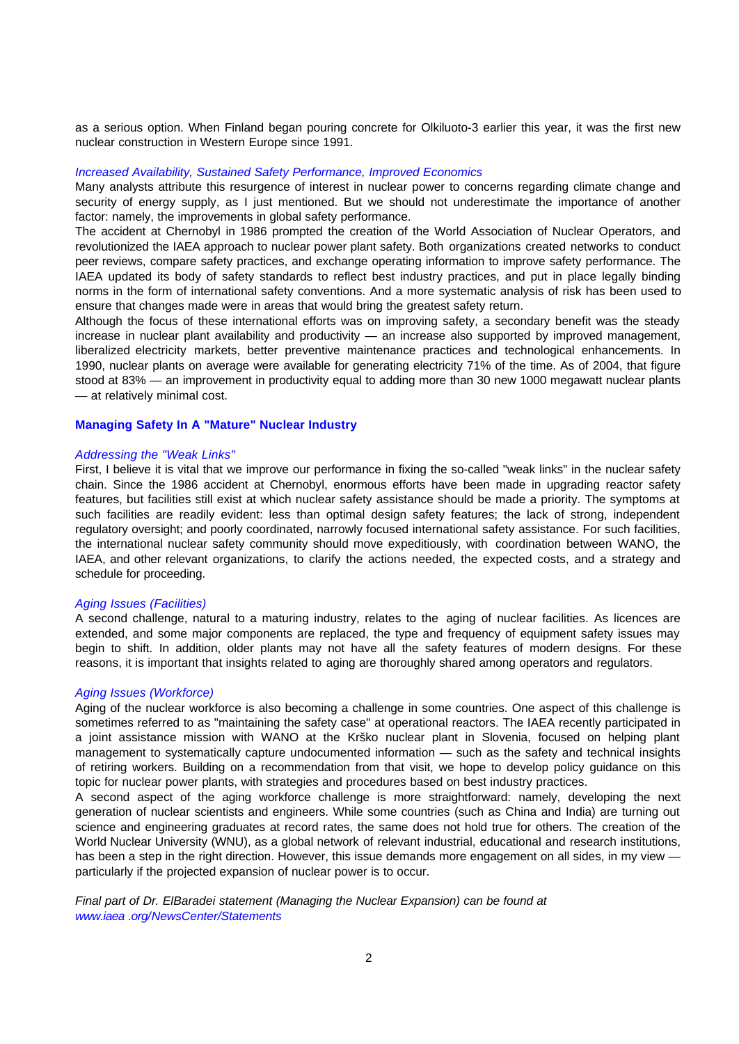as a serious option. When Finland began pouring concrete for Olkiluoto-3 earlier this year, it was the first new nuclear construction in Western Europe since 1991.

#### *Increased Availability, Sustained Safety Performance, Improved Economics*

Many analysts attribute this resurgence of interest in nuclear power to concerns regarding climate change and security of energy supply, as I just mentioned. But we should not underestimate the importance of another factor: namely, the improvements in global safety performance.

The accident at Chernobyl in 1986 prompted the creation of the World Association of Nuclear Operators, and revolutionized the IAEA approach to nuclear power plant safety. Both organizations created networks to conduct peer reviews, compare safety practices, and exchange operating information to improve safety performance. The IAEA updated its body of safety standards to reflect best industry practices, and put in place legally binding norms in the form of international safety conventions. And a more systematic analysis of risk has been used to ensure that changes made were in areas that would bring the greatest safety return.

Although the focus of these international efforts was on improving safety, a secondary benefit was the steady increase in nuclear plant availability and productivity — an increase also supported by improved management, liberalized electricity markets, better preventive maintenance practices and technological enhancements. In 1990, nuclear plants on average were available for generating electricity 71% of the time. As of 2004, that figure stood at 83% — an improvement in productivity equal to adding more than 30 new 1000 megawatt nuclear plants — at relatively minimal cost.

#### **Managing Safety In A "Mature" Nuclear Industry**

#### *Addressing the "Weak Links"*

First, I believe it is vital that we improve our performance in fixing the so-called "weak links" in the nuclear safety chain. Since the 1986 accident at Chernobyl, enormous efforts have been made in upgrading reactor safety features, but facilities still exist at which nuclear safety assistance should be made a priority. The symptoms at such facilities are readily evident: less than optimal design safety features; the lack of strong, independent regulatory oversight; and poorly coordinated, narrowly focused international safety assistance. For such facilities, the international nuclear safety community should move expeditiously, with coordination between WANO, the IAEA, and other relevant organizations, to clarify the actions needed, the expected costs, and a strategy and schedule for proceeding.

#### *Aging Issues (Facilities)*

A second challenge, natural to a maturing industry, relates to the aging of nuclear facilities. As licences are extended, and some major components are replaced, the type and frequency of equipment safety issues may begin to shift. In addition, older plants may not have all the safety features of modern designs. For these reasons, it is important that insights related to aging are thoroughly shared among operators and regulators.

#### *Aging Issues (Workforce)*

Aging of the nuclear workforce is also becoming a challenge in some countries. One aspect of this challenge is sometimes referred to as "maintaining the safety case" at operational reactors. The IAEA recently participated in a joint assistance mission with WANO at the Krško nuclear plant in Slovenia, focused on helping plant management to systematically capture undocumented information — such as the safety and technical insights of retiring workers. Building on a recommendation from that visit, we hope to develop policy guidance on this topic for nuclear power plants, with strategies and procedures based on best industry practices.

A second aspect of the aging workforce challenge is more straightforward: namely, developing the next generation of nuclear scientists and engineers. While some countries (such as China and India) are turning out science and engineering graduates at record rates, the same does not hold true for others. The creation of the World Nuclear University (WNU), as a global network of relevant industrial, educational and research institutions, has been a step in the right direction. However, this issue demands more engagement on all sides, in my view particularly if the projected expansion of nuclear power is to occur.

*Final part of Dr. ElBaradei statement (Managing the Nuclear Expansion) can be found at www.iaea .org/NewsCenter/Statements*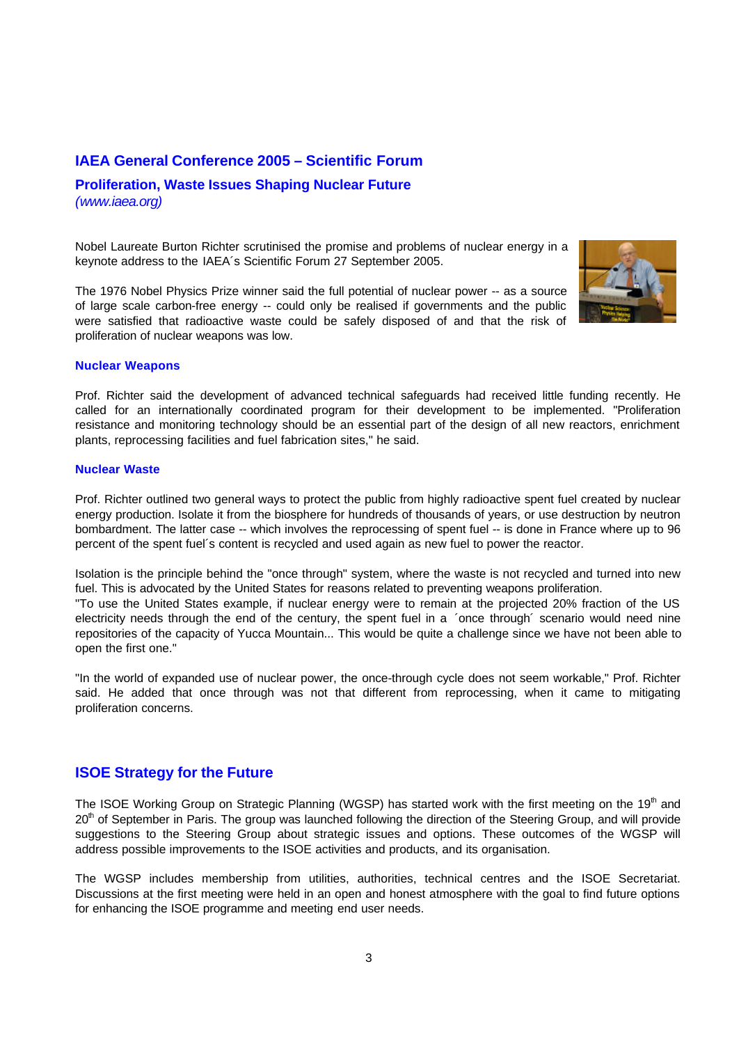## **IAEA General Conference 2005 – Scientific Forum**

## **Proliferation, Waste Issues Shaping Nuclear Future** *(www.iaea.org)*

Nobel Laureate Burton Richter scrutinised the promise and problems of nuclear energy in a keynote address to the IAEA´s Scientific Forum 27 September 2005.

The 1976 Nobel Physics Prize winner said the full potential of nuclear power -- as a source of large scale carbon-free energy -- could only be realised if governments and the public were satisfied that radioactive waste could be safely disposed of and that the risk of proliferation of nuclear weapons was low.



#### **Nuclear Weapons**

Prof. Richter said the development of advanced technical safeguards had received little funding recently. He called for an internationally coordinated program for their development to be implemented. "Proliferation resistance and monitoring technology should be an essential part of the design of all new reactors, enrichment plants, reprocessing facilities and fuel fabrication sites," he said.

#### **Nuclear Waste**

Prof. Richter outlined two general ways to protect the public from highly radioactive spent fuel created by nuclear energy production. Isolate it from the biosphere for hundreds of thousands of years, or use destruction by neutron bombardment. The latter case -- which involves the reprocessing of spent fuel -- is done in France where up to 96 percent of the spent fuel´s content is recycled and used again as new fuel to power the reactor.

Isolation is the principle behind the "once through" system, where the waste is not recycled and turned into new fuel. This is advocated by the United States for reasons related to preventing weapons proliferation.

"To use the United States example, if nuclear energy were to remain at the projected 20% fraction of the US electricity needs through the end of the century, the spent fuel in a ´once through´ scenario would need nine repositories of the capacity of Yucca Mountain... This would be quite a challenge since we have not been able to open the first one."

"In the world of expanded use of nuclear power, the once-through cycle does not seem workable," Prof. Richter said. He added that once through was not that different from reprocessing, when it came to mitigating proliferation concerns.

## **ISOE Strategy for the Future**

The ISOE Working Group on Strategic Planning (WGSP) has started work with the first meeting on the 19<sup>th</sup> and 20<sup>th</sup> of September in Paris. The group was launched following the direction of the Steering Group, and will provide suggestions to the Steering Group about strategic issues and options. These outcomes of the WGSP will address possible improvements to the ISOE activities and products, and its organisation.

The WGSP includes membership from utilities, authorities, technical centres and the ISOE Secretariat. Discussions at the first meeting were held in an open and honest atmosphere with the goal to find future options for enhancing the ISOE programme and meeting end user needs.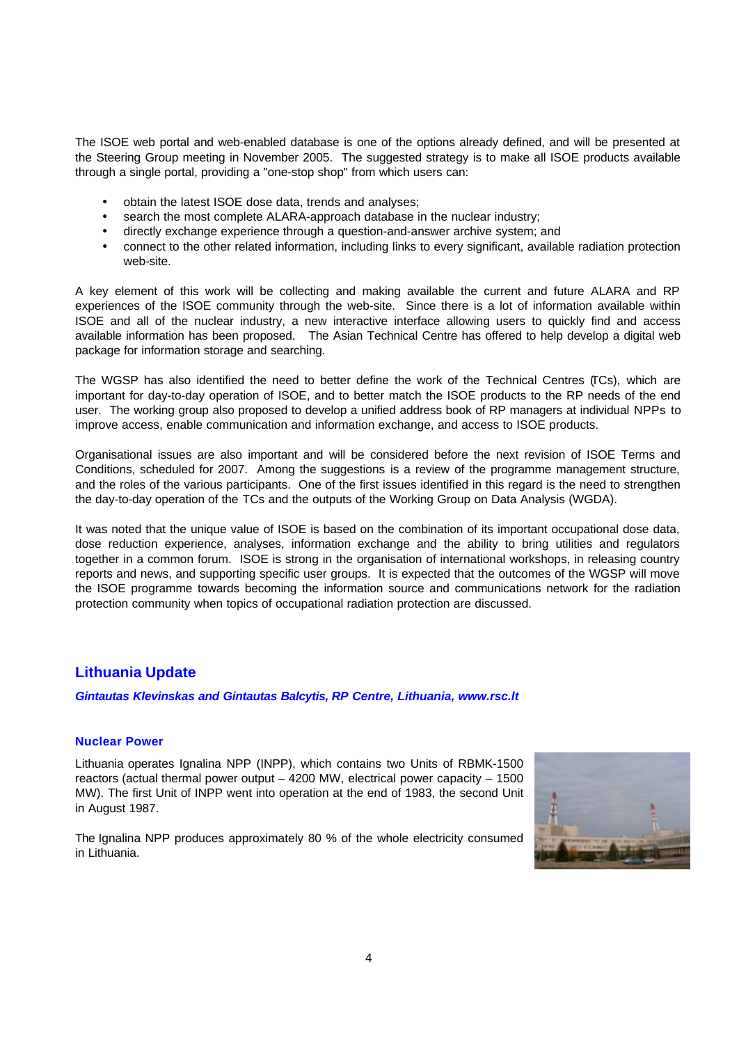The ISOE web portal and web-enabled database is one of the options already defined, and will be presented at the Steering Group meeting in November 2005. The suggested strategy is to make all ISOE products available through a single portal, providing a "one-stop shop" from which users can:

- obtain the latest ISOE dose data, trends and analyses;
- search the most complete ALARA-approach database in the nuclear industry;
- directly exchange experience through a question-and-answer archive system; and
- connect to the other related information, including links to every significant, available radiation protection web-site.

A key element of this work will be collecting and making available the current and future ALARA and RP experiences of the ISOE community through the web-site. Since there is a lot of information available within ISOE and all of the nuclear industry, a new interactive interface allowing users to quickly find and access available information has been proposed. The Asian Technical Centre has offered to help develop a digital web package for information storage and searching.

The WGSP has also identified the need to better define the work of the Technical Centres (TCs), which are important for day-to-day operation of ISOE, and to better match the ISOE products to the RP needs of the end user. The working group also proposed to develop a unified address book of RP managers at individual NPPs to improve access, enable communication and information exchange, and access to ISOE products.

Organisational issues are also important and will be considered before the next revision of ISOE Terms and Conditions, scheduled for 2007. Among the suggestions is a review of the programme management structure, and the roles of the various participants. One of the first issues identified in this regard is the need to strengthen the day-to-day operation of the TCs and the outputs of the Working Group on Data Analysis (WGDA).

It was noted that the unique value of ISOE is based on the combination of its important occupational dose data, dose reduction experience, analyses, information exchange and the ability to bring utilities and regulators together in a common forum. ISOE is strong in the organisation of international workshops, in releasing country reports and news, and supporting specific user groups. It is expected that the outcomes of the WGSP will move the ISOE programme towards becoming the information source and communications network for the radiation protection community when topics of occupational radiation protection are discussed.

# **Lithuania Update**

*Gintautas Klevinskas and Gintautas Balcytis, RP Centre, Lithuania, www.rsc.lt*

## **Nuclear Power**

Lithuania operates Ignalina NPP (INPP), which contains two Units of RBMK-1500 reactors (actual thermal power output – 4200 MW, electrical power capacity – 1500 MW). The first Unit of INPP went into operation at the end of 1983, the second Unit in August 1987.

The Ignalina NPP produces approximately 80 % of the whole electricity consumed in Lithuania.

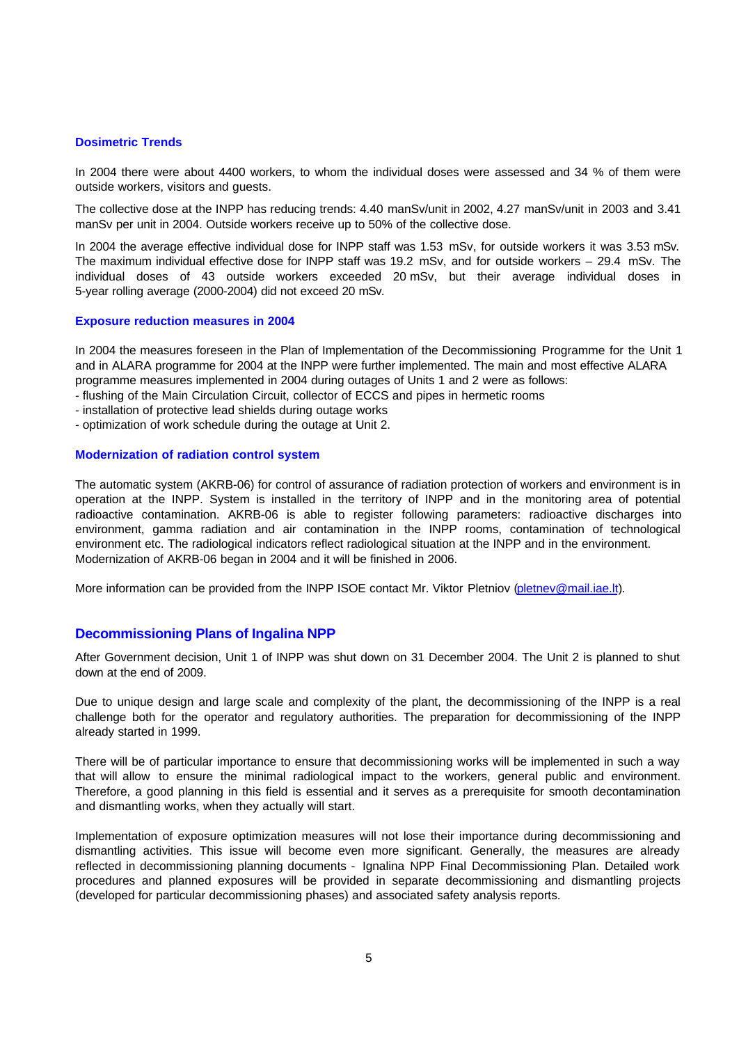### **Dosimetric Trends**

In 2004 there were about 4400 workers, to whom the individual doses were assessed and 34 % of them were outside workers, visitors and guests.

The collective dose at the INPP has reducing trends: 4.40 manSv/unit in 2002, 4.27 manSv/unit in 2003 and 3.41 manSv per unit in 2004. Outside workers receive up to 50% of the collective dose.

In 2004 the average effective individual dose for INPP staff was 1.53 mSv, for outside workers it was 3.53 mSv. The maximum individual effective dose for INPP staff was 19.2 mSv, and for outside workers – 29.4 mSv. The individual doses of 43 outside workers exceeded 20 mSv, but their average individual doses in 5-year rolling average (2000-2004) did not exceed 20 mSv.

#### **Exposure reduction measures in 2004**

In 2004 the measures foreseen in the Plan of Implementation of the Decommissioning Programme for the Unit 1 and in ALARA programme for 2004 at the INPP were further implemented. The main and most effective ALARA programme measures implemented in 2004 during outages of Units 1 and 2 were as follows:

- flushing of the Main Circulation Circuit, collector of ECCS and pipes in hermetic rooms
- installation of protective lead shields during outage works
- optimization of work schedule during the outage at Unit 2.

#### **Modernization of radiation control system**

The automatic system (AKRB-06) for control of assurance of radiation protection of workers and environment is in operation at the INPP. System is installed in the territory of INPP and in the monitoring area of potential radioactive contamination. AKRB-06 is able to register following parameters: radioactive discharges into environment, gamma radiation and air contamination in the INPP rooms, contamination of technological environment etc. The radiological indicators reflect radiological situation at the INPP and in the environment. Modernization of AKRB-06 began in 2004 and it will be finished in 2006.

More information can be provided from the INPP ISOE contact Mr. Viktor Pletniov (pletnev@mail.iae.lt).

## **Decommissioning Plans of Ingalina NPP**

After Government decision, Unit 1 of INPP was shut down on 31 December 2004. The Unit 2 is planned to shut down at the end of 2009.

Due to unique design and large scale and complexity of the plant, the decommissioning of the INPP is a real challenge both for the operator and regulatory authorities. The preparation for decommissioning of the INPP already started in 1999.

There will be of particular importance to ensure that decommissioning works will be implemented in such a way that will allow to ensure the minimal radiological impact to the workers, general public and environment. Therefore, a good planning in this field is essential and it serves as a prerequisite for smooth decontamination and dismantling works, when they actually will start.

Implementation of exposure optimization measures will not lose their importance during decommissioning and dismantling activities. This issue will become even more significant. Generally, the measures are already reflected in decommissioning planning documents - Ignalina NPP Final Decommissioning Plan. Detailed work procedures and planned exposures will be provided in separate decommissioning and dismantling projects (developed for particular decommissioning phases) and associated safety analysis reports.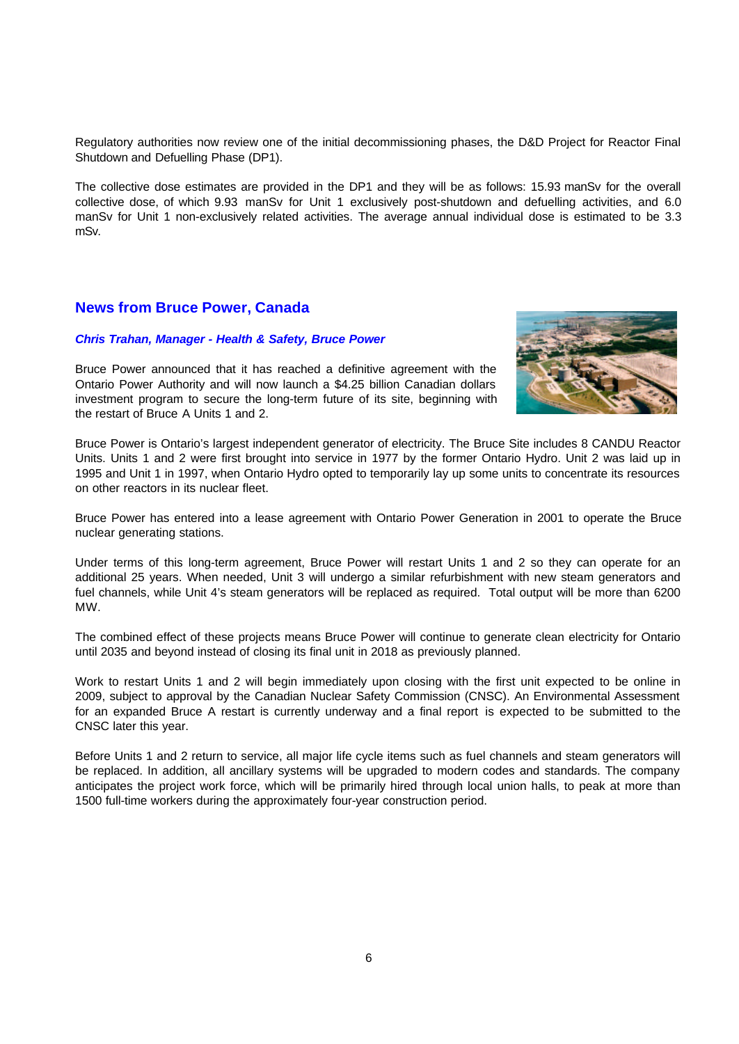Regulatory authorities now review one of the initial decommissioning phases, the D&D Project for Reactor Final Shutdown and Defuelling Phase (DP1).

The collective dose estimates are provided in the DP1 and they will be as follows: 15.93 manSv for the overall collective dose, of which 9.93 manSv for Unit 1 exclusively post-shutdown and defuelling activities, and 6.0 manSv for Unit 1 non-exclusively related activities. The average annual individual dose is estimated to be 3.3 mSv.

# **News from Bruce Power, Canada**

#### *Chris Trahan, Manager - Health & Safety, Bruce Power*

Bruce Power announced that it has reached a definitive agreement with the Ontario Power Authority and will now launch a \$4.25 billion Canadian dollars investment program to secure the long-term future of its site, beginning with the restart of Bruce A Units 1 and 2.



Bruce Power is Ontario's largest independent generator of electricity. The Bruce Site includes 8 CANDU Reactor Units. Units 1 and 2 were first brought into service in 1977 by the former Ontario Hydro. Unit 2 was laid up in 1995 and Unit 1 in 1997, when Ontario Hydro opted to temporarily lay up some units to concentrate its resources on other reactors in its nuclear fleet.

Bruce Power has entered into a lease agreement with Ontario Power Generation in 2001 to operate the Bruce nuclear generating stations.

Under terms of this long-term agreement, Bruce Power will restart Units 1 and 2 so they can operate for an additional 25 years. When needed, Unit 3 will undergo a similar refurbishment with new steam generators and fuel channels, while Unit 4's steam generators will be replaced as required. Total output will be more than 6200 MW.

The combined effect of these projects means Bruce Power will continue to generate clean electricity for Ontario until 2035 and beyond instead of closing its final unit in 2018 as previously planned.

Work to restart Units 1 and 2 will begin immediately upon closing with the first unit expected to be online in 2009, subject to approval by the Canadian Nuclear Safety Commission (CNSC). An Environmental Assessment for an expanded Bruce A restart is currently underway and a final report is expected to be submitted to the CNSC later this year.

Before Units 1 and 2 return to service, all major life cycle items such as fuel channels and steam generators will be replaced. In addition, all ancillary systems will be upgraded to modern codes and standards. The company anticipates the project work force, which will be primarily hired through local union halls, to peak at more than 1500 full-time workers during the approximately four-year construction period.